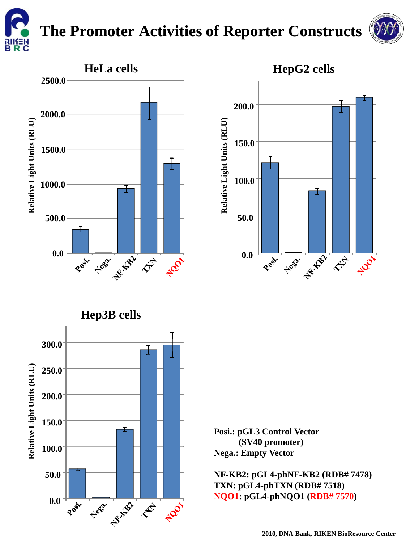

## **The Promoter Activities of Reporter Constructs**

**Relative Light Units (RLU)**

Relative Light Units (RLU)

**0.0** 

Post of

**50.0**

**100.0**

**150.0** 

**200.0** 





**Posi.: pGL3 Control Vector (SV40 promoter) Nega.: Empty Vector**

**NF-KB2: pGL4-phNF-KB2 (RDB# 7478) TXN: pGL4-phTXN (RDB# 7518) NQO1: pGL4-phNQO1 (RDB# 7570)**

Never they the fact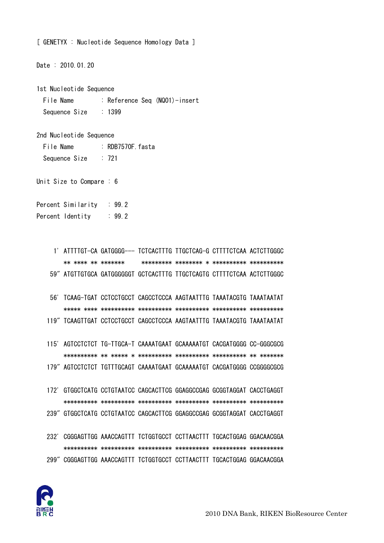[ GENETYX : Nucleotide Sequence Homology Data ]

Date: 2010.01.20

1st Nucleotide Sequence

: Reference Seq (NQ01)-insert File Name Sequence Size  $: 1399$ 

2nd Nucleotide Sequence

File Name : RDB7570F fasta  $: 721$ Sequence Size

Unit Size to Compare : 6

Percent Similarity  $\therefore$  99.2 Percent Identity : 99.2

> 1' ATTTTGT-CA GATGGGG--- TCTCACTTTG TTGCTCAG-G CTTTTCTCAA ACTCTTGGGC \*\* \*\*\*\* \*\* \*\*\*\*\*\*\* 59" ATGTTGTGCA GATGGGGGGT GCTCACTTTG TTGCTCAGTG CTTTTCTCAA ACTCTTGGGC

56' TCAAG-TGAT CCTCCTGCCT CAGCCTCCCA AAGTAATTTG TAAATACGTG TAAATAATAT 119" TCAAGTTGAT CCTCCTGCCT CAGCCTCCCA AAGTAATTTG TAAATACGTG TAAATAATAT

115' AGTCCTCTCT TG-TTGCA-T CAAAATGAAT GCAAAAATGT CACGATGGGG CC-GGGCGCG 179" AGTCCTCTCT TGTTTGCAGT CAAAATGAAT GCAAAAATGT CACGATGGGG CCGGGGCGCG

- 172' GTGGCTCATG CCTGTAATCC CAGCACTTCG GGAGGCCGAG GCGGTAGGAT CACCTGAGGT 239" GTGGCTCATG CCTGTAATCC CAGCACTTCG GGAGGCCGAG GCGGTAGGAT CACCTGAGGT
- 232' CGGGAGTTGG AAACCAGTTT TCTGGTGCCT CCTTAACTTT TGCACTGGAG GGACAACGGA 299" CGGGAGTTGG AAACCAGTTT TCTGGTGCCT CCTTAACTTT TGCACTGGAG GGACAACGGA

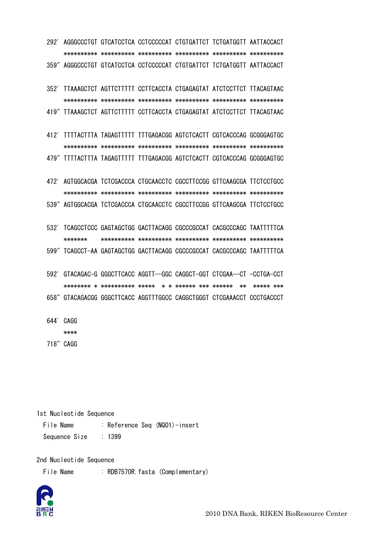292' AGGGCCCTGT GTCATCCTCA CCTCCCCCAT CTGTGATTCT TCTGATGGTT AATTACCACT 359" AGGGCCCTGT GTCATCCTCA CCTCCCCCAT CTGTGATTCT TCTGATGGTT AATTACCACT

352' TTAAAGCTCT AGTTCTTTTT CCTTCACCTA CTGAGAGTAT ATCTCCTTCT TTACAGTAAC 419" TTAAAGCTCT AGTTCTTTTT CCTTCACCTA CTGAGAGTAT ATCTCCTTCT TTACAGTAAC

412' TITTACTTTA TAGAGTTTTT TTTGAGACGG AGTCTCACTT CGTCACCCAG GCGGGAGTGC 479" TITTACTTTA TAGAGTTTTT TTTGAGACGG AGTCTCACTT CGTCACCCAG GCGGGAGTGC

472' AGTGGCACGA TCTCGACCCA CTGCAACCTC CGCCTTCCGG GTTCAAGCGA TTCTCCTGCC 539" AGTGGCACGA TCTCGACCCA CTGCAACCTC CGCCTTCCGG GTTCAAGCGA TTCTCCTGCC

532' TCAGCCTCCC GAGTAGCTGG GACTTACAGG CGCCCGCCAT CACGCCCAGC TAATTTTTCA \*\*\*\*\*\*\* 599" TCAGCCT-AA GAGTAGCTGG GACTTACAGG CGCCCGCCAT CACGCCCAGC TAATTTTTCA

592' GTACAGAC-G GGGCTTCACC AGGTT--GGC CAGGCT-GGT CTCGAA--CT -CCTGA-CCT 

658" GTACAGACGG GGGCTTCACC AGGTTTGGCC CAGGCTGGGT CTCGAAACCT CCCTGACCCT

644' CAGG

\*\*\*\*

718" CAGG

1st Nucleotide Sequence

File Name : Reference Seq (NQ01)-insert  $: 1399$ Sequence Size

2nd Nucleotide Sequence

File Name : RDB7570R fasta (Complementary)

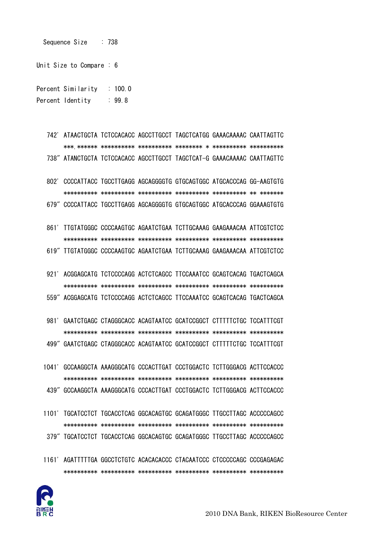

1161' AGATTTTTGA GGCCTCTGTC ACACACACCC CTACAATCCC CTCCCCCAGC CCCGAGAGAC 

- 379" TGCATCCTCT TGCACCTCAG GGCACAGTGC GCAGATGGGC TTGCCTTAGC ACCCCCAGCC
- 439" GCCAAGGCTA AAAGGGCATG CCCACTTGAT CCCTGGACTC TCTTGGGACG ACTTCCACCC

1101' TGCATCCTCT TGCACCTCAG GGCACAGTGC GCAGATGGGC TTGCCTTAGC ACCCCCAGCC

1041' GCCAAGGCTA AAAGGGCATG CCCACTTGAT CCCTGGACTC TCTTGGGACG ACTTCCACCC 

499" GAATCTGAGC CTAGGGCACC ACAGTAATCC GCATCCGGCT CTTTTTCTGC TCCATTTCGT

- 981' GAATCTGAGC CTAGGGCACC ACAGTAATCC GCATCCGGCT CTTTTTCTGC TCCATTTCGT
- 921' ACGGAGCATG TCTCCCCAGG ACTCTCAGCC TTCCAAATCC GCAGTCACAG TGACTCAGCA 559" ACGGAGCATG TCTCCCCAGG ACTCTCAGCC TTCCAAATCC GCAGTCACAG TGACTCAGCA
- 861' TTGTATGGGC CCCCAAGTGC AGAATCTGAA TCTTGCAAAG GAAGAAACAA ATTCGTCTCC 619" TTGTATGGGC CCCCAAGTGC AGAATCTGAA TCTTGCAAAG GAAGAAACAA ATTCGTCTCC
- 802' CCCCATTACC TGCCTTGAGG AGCAGGGGTG GTGCAGTGGC ATGCACCCAG GG-AAGTGTG 679" CCCCATTACC TGCCTTGAGG AGCAGGGGTG GTGCAGTGGC ATGCACCCAG GGAAAGTGTG
- 742' ATAACTGCTA TCTCCACACC AGCCTTGCCT TAGCTCATGG GAAACAAAAC CAATTAGTTC 738" ATANCTGCTA TCTCCACACC AGCCTTGCCT TAGCTCAT-G GAAACAAAAC CAATTAGTTC
- Percent Similarity : 100.0 Percent Identity : 99.8
- 

Sequence Size : 738

Unit Size to Compare : 6